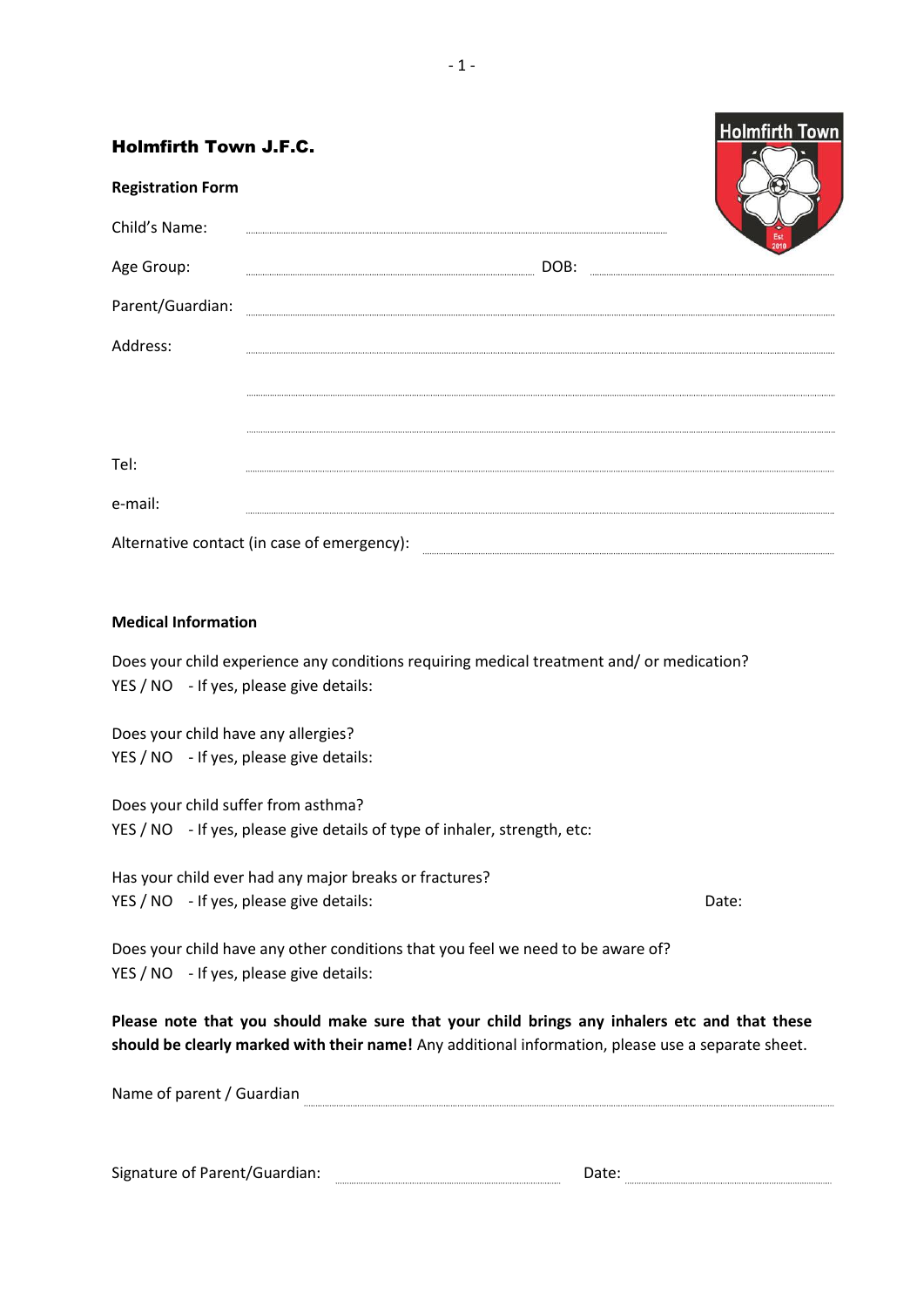| <b>Holmfirth Town J.F.C.</b>                                                                                                         | <b>Holmfirth Town</b> |
|--------------------------------------------------------------------------------------------------------------------------------------|-----------------------|
| <b>Registration Form</b>                                                                                                             |                       |
| Child's Name:                                                                                                                        |                       |
| Age Group:                                                                                                                           |                       |
| Parent/Guardian:                                                                                                                     |                       |
| Address:                                                                                                                             |                       |
|                                                                                                                                      |                       |
|                                                                                                                                      |                       |
| Tel:                                                                                                                                 |                       |
| e-mail:                                                                                                                              |                       |
| Alternative contact (in case of emergency):                                                                                          |                       |
|                                                                                                                                      |                       |
| <b>Medical Information</b>                                                                                                           |                       |
| Does your child experience any conditions requiring medical treatment and/ or medication?<br>YES / NO - If yes, please give details: |                       |
| Does your child have any allergies?                                                                                                  |                       |
| YES / NO - If yes, please give details:                                                                                              |                       |
| Does your child suffer from asthma?                                                                                                  |                       |
| YES / NO - If yes, please give details of type of inhaler, strength, etc:                                                            |                       |
| Has your child ever had any major breaks or fractures?                                                                               |                       |
| YES / NO - If yes, please give details:                                                                                              | Date:                 |
| Does your child have any other conditions that you feel we need to be aware of?<br>YES / NO - If yes, please give details:           |                       |

**Please note that you should make sure that your child brings any inhalers etc and that these should be clearly marked with their name!** Any additional information, please use a separate sheet.

Name of parent / Guardian

| $\ddot{\phantom{1}}$<br>Sign-<br>.<br>.<br>. |  |  |
|----------------------------------------------|--|--|
|                                              |  |  |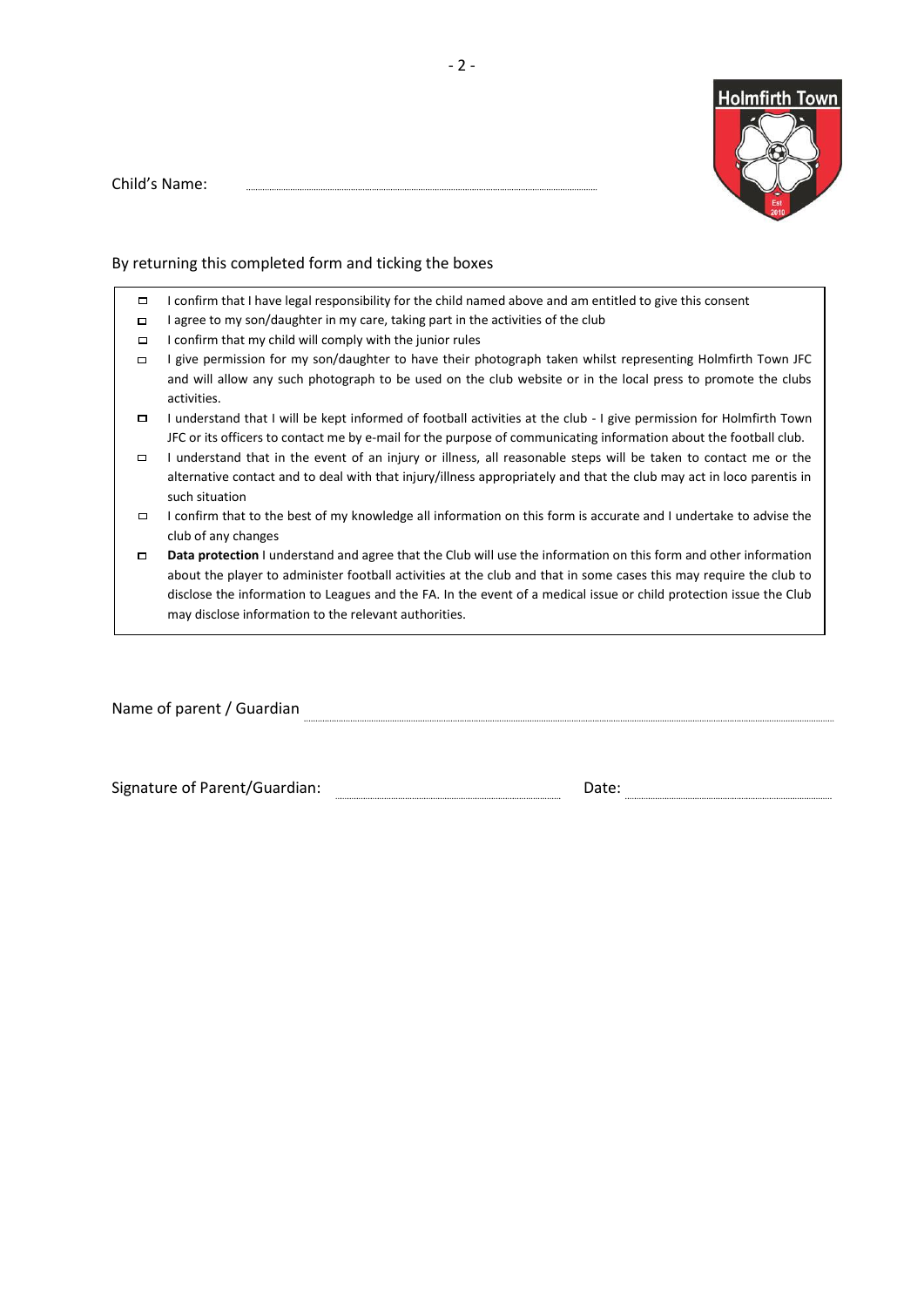

Child's Name:

### By returning this completed form and ticking the boxes

- $\Box$ I confirm that I have legal responsibility for the child named above and am entitled to give this consent
- $\Box$ I agree to my son/daughter in my care, taking part in the activities of the club
- I confirm that my child will comply with the junior rules  $\Box$
- I give permission for my son/daughter to have their photograph taken whilst representing Holmfirth Town JFC and will allow any such photograph to be used on the club website or in the local press to promote the clubs activities.
- $\Box$ I understand that I will be kept informed of football activities at the club - I give permission for Holmfirth Town JFC or its officers to contact me by e-mail for the purpose of communicating information about the football club.
- $\Box$ I understand that in the event of an injury or illness, all reasonable steps will be taken to contact me or the alternative contact and to deal with that injury/illness appropriately and that the club may act in loco parentis in such situation
- I confirm that to the best of my knowledge all information on this form is accurate and I undertake to advise the club of any changes
- **Data protection** I understand and agree that the Club will use the information on this form and other information  $\Box$ about the player to administer football activities at the club and that in some cases this may require the club to disclose the information to Leagues and the FA. In the event of a medical issue or child protection issue the Club may disclose information to the relevant authorities.

Name of parent / Guardian **Constitution** Construction Constant Construction Construction Construction Construction Construction Construction Construction Construction Construction Construction Construction Construction Con

Signature of Parent/Guardian: www.assettime.com/margia-community.com/margia-community.com/margia-community.com/margia-community.com/margia-community.com/margia-community.com/margia-community.com/margia-community.com/margia